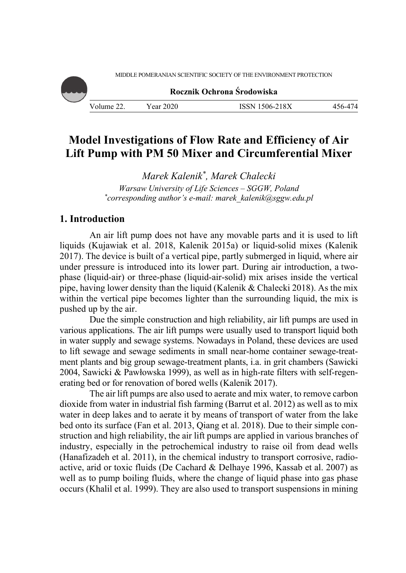MIDDLE POMERANIAN SCIENTIFIC SOCIETY OF THE ENVIRONMENT PROTECTION



**Rocznik Ochrona Środowiska**

Volume 22. Year 2020 ISSN 1506-218X 456-474

# **Model Investigations of Flow Rate and Efficiency of Air Lift Pump with PM 50 Mixer and Circumferential Mixer**

*Marek Kalenik\*, Marek Chalecki Warsaw University of Life Sciences – SGGW, Poland \* corresponding author's e-mail: marek\_kalenik@sggw.edu.pl* 

# **1. Introduction**

An air lift pump does not have any movable parts and it is used to lift liquids (Kujawiak et al. 2018, Kalenik 2015a) or liquid-solid mixes (Kalenik 2017). The device is built of a vertical pipe, partly submerged in liquid, where air under pressure is introduced into its lower part. During air introduction, a twophase (liquid-air) or three-phase (liquid-air-solid) mix arises inside the vertical pipe, having lower density than the liquid (Kalenik & Chalecki 2018). As the mix within the vertical pipe becomes lighter than the surrounding liquid, the mix is pushed up by the air.

Due the simple construction and high reliability, air lift pumps are used in various applications. The air lift pumps were usually used to transport liquid both in water supply and sewage systems. Nowadays in Poland, these devices are used to lift sewage and sewage sediments in small near-home container sewage-treatment plants and big group sewage-treatment plants, i.a. in grit chambers (Sawicki 2004, Sawicki & Pawłowska 1999), as well as in high-rate filters with self-regenerating bed or for renovation of bored wells (Kalenik 2017).

The air lift pumps are also used to aerate and mix water, to remove carbon dioxide from water in industrial fish farming (Barrut et al. 2012) as well as to mix water in deep lakes and to aerate it by means of transport of water from the lake bed onto its surface (Fan et al. 2013, Qiang et al. 2018). Due to their simple construction and high reliability, the air lift pumps are applied in various branches of industry, especially in the petrochemical industry to raise oil from dead wells (Hanafizadeh et al. 2011), in the chemical industry to transport corrosive, radioactive, arid or toxic fluids (De Cachard & Delhaye 1996, Kassab et al. 2007) as well as to pump boiling fluids, where the change of liquid phase into gas phase occurs (Khalil et al. 1999). They are also used to transport suspensions in mining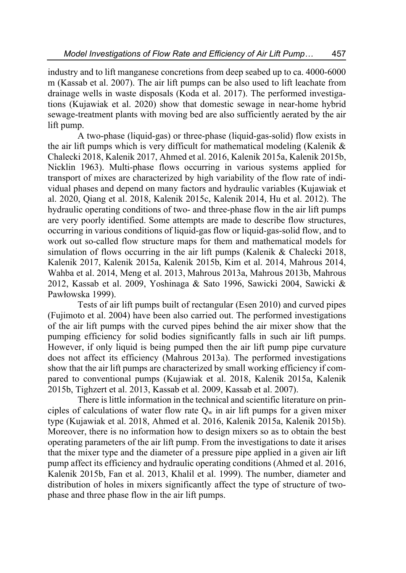industry and to lift manganese concretions from deep seabed up to ca. 4000-6000 m (Kassab et al. 2007). The air lift pumps can be also used to lift leachate from drainage wells in waste disposals (Koda et al. 2017). The performed investigations (Kujawiak et al. 2020) show that domestic sewage in near-home hybrid sewage-treatment plants with moving bed are also sufficiently aerated by the air lift pump.

A two-phase (liquid-gas) or three-phase (liquid-gas-solid) flow exists in the air lift pumps which is very difficult for mathematical modeling (Kalenik & Chalecki 2018, Kalenik 2017, Ahmed et al. 2016, Kalenik 2015a, Kalenik 2015b, Nicklin 1963). Multi-phase flows occurring in various systems applied for transport of mixes are characterized by high variability of the flow rate of individual phases and depend on many factors and hydraulic variables (Kujawiak et al. 2020, Qiang et al. 2018, Kalenik 2015c, Kalenik 2014, Hu et al. 2012). The hydraulic operating conditions of two- and three-phase flow in the air lift pumps are very poorly identified. Some attempts are made to describe flow structures, occurring in various conditions of liquid-gas flow or liquid-gas-solid flow, and to work out so-called flow structure maps for them and mathematical models for simulation of flows occurring in the air lift pumps (Kalenik & Chalecki 2018, Kalenik 2017, Kalenik 2015a, Kalenik 2015b, Kim et al. 2014, Mahrous 2014, Wahba et al. 2014, Meng et al. 2013, Mahrous 2013a, Mahrous 2013b, Mahrous 2012, Kassab et al. 2009, Yoshinaga & Sato 1996, Sawicki 2004, Sawicki & Pawłowska 1999).

Tests of air lift pumps built of rectangular (Esen 2010) and curved pipes (Fujimoto et al. 2004) have been also carried out. The performed investigations of the air lift pumps with the curved pipes behind the air mixer show that the pumping efficiency for solid bodies significantly falls in such air lift pumps. However, if only liquid is being pumped then the air lift pump pipe curvature does not affect its efficiency (Mahrous 2013a). The performed investigations show that the air lift pumps are characterized by small working efficiency if compared to conventional pumps (Kujawiak et al. 2018, Kalenik 2015a, Kalenik 2015b, Tighzert et al. 2013, Kassab et al. 2009, Kassab et al. 2007).

There is little information in the technical and scientific literature on principles of calculations of water flow rate  $Q_w$  in air lift pumps for a given mixer type (Kujawiak et al. 2018, Ahmed et al. 2016, Kalenik 2015a, Kalenik 2015b). Moreover, there is no information how to design mixers so as to obtain the best operating parameters of the air lift pump. From the investigations to date it arises that the mixer type and the diameter of a pressure pipe applied in a given air lift pump affect its efficiency and hydraulic operating conditions (Ahmed et al. 2016, Kalenik 2015b, Fan et al. 2013, Khalil et al. 1999). The number, diameter and distribution of holes in mixers significantly affect the type of structure of twophase and three phase flow in the air lift pumps.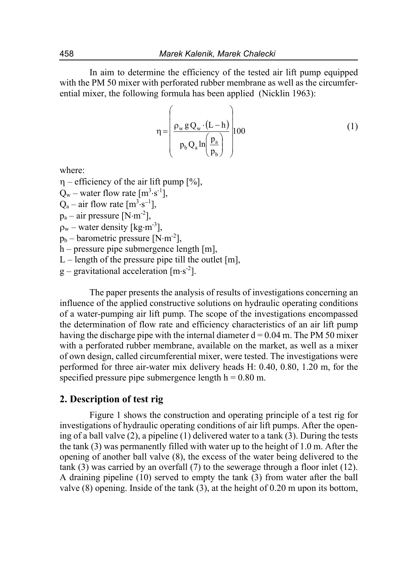In aim to determine the efficiency of the tested air lift pump equipped with the PM 50 mixer with perforated rubber membrane as well as the circumferential mixer, the following formula has been applied (Nicklin 1963):

$$
\eta = \left(\frac{\rho_w g Q_w \cdot (L - h)}{p_b Q_a \ln\left(\frac{p_a}{p_b}\right)}\right) 100\tag{1}
$$

where:

 $\eta$  – efficiency of the air lift pump [%],

 $Q_w$  – water flow rate  $[m^3 \cdot s^{-1}]$ ,

 $Q_a$  – air flow rate  $[m^3 \cdot s^{-1}]$ ,

 $p_a$  – air pressure [N·m<sup>-2</sup>],

 $\rho_w$  – water density [kg·m<sup>-3</sup>],

 $p_b$  – barometric pressure [N·m<sup>-2</sup>],

 $h$  – pressure pipe submergence length [m],

L – length of the pressure pipe till the outlet  $[m]$ ,

 $g$  – gravitational acceleration  $[m \cdot s^2]$ .

The paper presents the analysis of results of investigations concerning an influence of the applied constructive solutions on hydraulic operating conditions of a water-pumping air lift pump. The scope of the investigations encompassed the determination of flow rate and efficiency characteristics of an air lift pump having the discharge pipe with the internal diameter  $d = 0.04$  m. The PM 50 mixer with a perforated rubber membrane, available on the market, as well as a mixer of own design, called circumferential mixer, were tested. The investigations were performed for three air-water mix delivery heads H: 0.40, 0.80, 1.20 m, for the specified pressure pipe submergence length  $h = 0.80$  m.

# **2. Description of test rig**

Figure 1 shows the construction and operating principle of a test rig for investigations of hydraulic operating conditions of air lift pumps. After the opening of a ball valve (2), a pipeline (1) delivered water to a tank (3). During the tests the tank (3) was permanently filled with water up to the height of 1.0 m. After the opening of another ball valve (8), the excess of the water being delivered to the tank (3) was carried by an overfall (7) to the sewerage through a floor inlet (12). A draining pipeline (10) served to empty the tank (3) from water after the ball valve (8) opening. Inside of the tank (3), at the height of 0.20 m upon its bottom,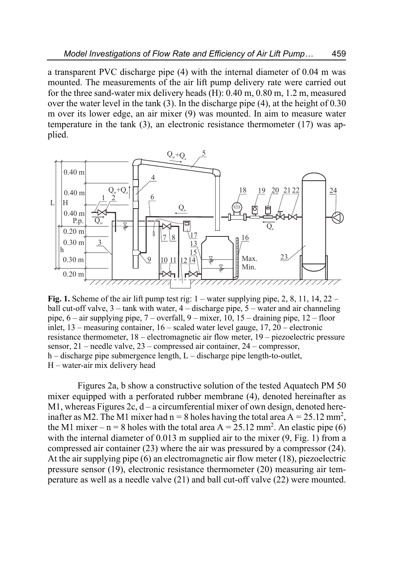a transparent PVC discharge pipe (4) with the internal diameter of 0.04 m was mounted. The measurements of the air lift pump delivery rate were carried out for the three sand-water mix delivery heads (H): 0.40 m, 0.80 m, 1.2 m, measured over the water level in the tank (3). In the discharge pipe (4), at the height of 0.30 m over its lower edge, an air mixer (9) was mounted. In aim to measure water temperature in the tank (3), an electronic resistance thermometer (17) was applied.



**Fig. 1.** Scheme of the air lift pump test rig: 1 – water supplying pipe, 2, 8, 11, 14, 22 – ball cut-off valve,  $3$  – tank with water,  $4$  – discharge pipe,  $5$  – water and air channeling pipe, 6 – air supplying pipe, 7 – overfall, 9 – mixer, 10, 15 – draining pipe, 12 – floor inlet, 13 – measuring container, 16 – scaled water level gauge, 17, 20 – electronic resistance thermometer, 18 – electromagnetic air flow meter, 19 – piezoelectric pressure sensor, 21 – needle valve, 23 – compressed air container, 24 – compressor, h – discharge pipe submergence length, L – discharge pipe length-to-outlet, H – water-air mix delivery head

Figures 2a, b show a constructive solution of the tested Aquatech PM 50 mixer equipped with a perforated rubber membrane (4), denoted hereinafter as M1, whereas Figures 2c, d – a circumferential mixer of own design, denoted hereinafter as M2. The M1 mixer had  $n = 8$  holes having the total area  $A = 25.12$  mm<sup>2</sup>, the M1 mixer – n = 8 holes with the total area  $A = 25.12$  mm<sup>2</sup>. An elastic pipe (6) with the internal diameter of 0.013 m supplied air to the mixer  $(9, Fig. 1)$  from a compressed air container (23) where the air was pressured by a compressor (24). At the air supplying pipe (6) an electromagnetic air flow meter (18), piezoelectric pressure sensor (19), electronic resistance thermometer (20) measuring air temperature as well as a needle valve (21) and ball cut-off valve (22) were mounted.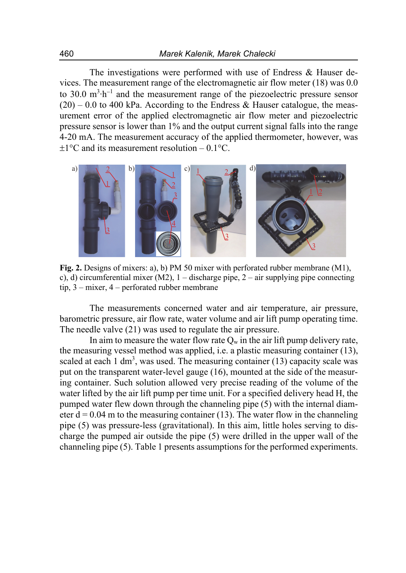The investigations were performed with use of Endress & Hauser devices. The measurement range of the electromagnetic air flow meter (18) was 0.0 to 30.0  $m<sup>3</sup>·h<sup>-1</sup>$  and the measurement range of the piezoelectric pressure sensor  $(20)$  – 0.0 to 400 kPa. According to the Endress & Hauser catalogue, the measurement error of the applied electromagnetic air flow meter and piezoelectric pressure sensor is lower than 1% and the output current signal falls into the range 4-20 mA. The measurement accuracy of the applied thermometer, however, was  $\pm$ 1°C and its measurement resolution – 0.1°C.



**Fig. 2.** Designs of mixers: a), b) PM 50 mixer with perforated rubber membrane (M1), c), d) circumferential mixer (M2),  $1 -$  discharge pipe,  $2 -$  air supplying pipe connecting tip, 3 – mixer, 4 – perforated rubber membrane

The measurements concerned water and air temperature, air pressure, barometric pressure, air flow rate, water volume and air lift pump operating time. The needle valve (21) was used to regulate the air pressure.

In aim to measure the water flow rate  $Q_w$  in the air lift pump delivery rate, the measuring vessel method was applied, i.e. a plastic measuring container (13), scaled at each 1 dm<sup>3</sup>, was used. The measuring container (13) capacity scale was put on the transparent water-level gauge (16), mounted at the side of the measuring container. Such solution allowed very precise reading of the volume of the water lifted by the air lift pump per time unit. For a specified delivery head H, the pumped water flew down through the channeling pipe (5) with the internal diameter  $d = 0.04$  m to the measuring container (13). The water flow in the channeling pipe (5) was pressure-less (gravitational). In this aim, little holes serving to discharge the pumped air outside the pipe (5) were drilled in the upper wall of the channeling pipe (5). Table 1 presents assumptions for the performed experiments.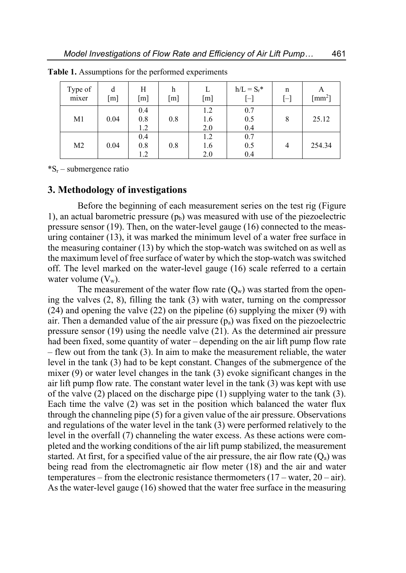| Type of<br>mixer | d<br>[m] | Н<br>[m]          | h<br>[m] | [m]               | $h/L = S_r^*$<br>$[\mathord{\text{--}}]$ | n<br>$[ - ]$ | A<br>$\lceil$ mm <sup>2</sup> $\rceil$ |
|------------------|----------|-------------------|----------|-------------------|------------------------------------------|--------------|----------------------------------------|
| M1               | 0.04     | 0.4<br>0.8<br>1.2 | 0.8      | 1.2<br>1.6<br>2.0 | 0.7<br>0.5<br>0.4                        | 8            | 25.12                                  |
| M <sub>2</sub>   | 0.04     | 0.4<br>0.8<br>1.2 | 0.8      | 1.2<br>1.6<br>2.0 | 0.7<br>0.5<br>0.4                        | 4            | 254.34                                 |

**Table 1.** Assumptions for the performed experiments

 $^*S_r$  – submergence ratio

### **3. Methodology of investigations**

Before the beginning of each measurement series on the test rig (Figure 1), an actual barometric pressure  $(p_b)$  was measured with use of the piezoelectric pressure sensor (19). Then, on the water-level gauge (16) connected to the measuring container (13), it was marked the minimum level of a water free surface in the measuring container (13) by which the stop-watch was switched on as well as the maximum level of free surface of water by which the stop-watch was switched off. The level marked on the water-level gauge (16) scale referred to a certain water volume  $(V_w)$ .

The measurement of the water flow rate  $(Q_w)$  was started from the opening the valves (2, 8), filling the tank (3) with water, turning on the compressor  $(24)$  and opening the valve  $(22)$  on the pipeline  $(6)$  supplying the mixer  $(9)$  with air. Then a demanded value of the air pressure  $(p_a)$  was fixed on the piezoelectric pressure sensor (19) using the needle valve (21). As the determined air pressure had been fixed, some quantity of water – depending on the air lift pump flow rate – flew out from the tank (3). In aim to make the measurement reliable, the water level in the tank (3) had to be kept constant. Changes of the submergence of the mixer  $(9)$  or water level changes in the tank  $(3)$  evoke significant changes in the air lift pump flow rate. The constant water level in the tank (3) was kept with use of the valve (2) placed on the discharge pipe (1) supplying water to the tank (3). Each time the valve (2) was set in the position which balanced the water flux through the channeling pipe (5) for a given value of the air pressure. Observations and regulations of the water level in the tank (3) were performed relatively to the level in the overfall (7) channeling the water excess. As these actions were completed and the working conditions of the air lift pump stabilized, the measurement started. At first, for a specified value of the air pressure, the air flow rate  $(Q<sub>a</sub>)$  was being read from the electromagnetic air flow meter (18) and the air and water temperatures – from the electronic resistance thermometers  $(17 - \text{water}, 20 - \text{air})$ . As the water-level gauge (16) showed that the water free surface in the measuring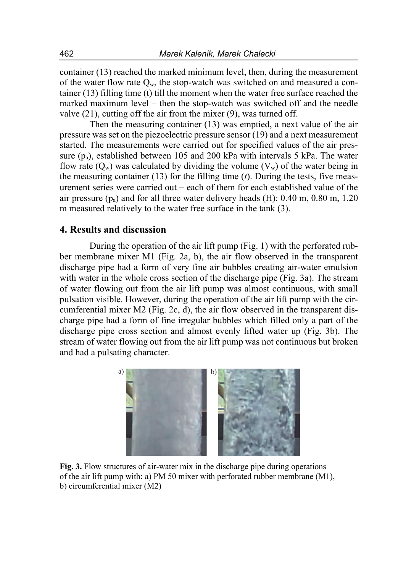container (13) reached the marked minimum level, then, during the measurement of the water flow rate  $O_w$ , the stop-watch was switched on and measured a container (13) filling time (t) till the moment when the water free surface reached the marked maximum level – then the stop-watch was switched off and the needle valve (21), cutting off the air from the mixer (9), was turned off.

Then the measuring container (13) was emptied, a next value of the air pressure was set on the piezoelectric pressure sensor (19) and a next measurement started. The measurements were carried out for specified values of the air pressure  $(p_a)$ , established between 105 and 200 kPa with intervals 5 kPa. The water flow rate  $(Q_w)$  was calculated by dividing the volume  $(V_w)$  of the water being in the measuring container (13) for the filling time (*t*). During the tests, five measurement series were carried out  $-$  each of them for each established value of the air pressure  $(p_a)$  and for all three water delivery heads (H): 0.40 m, 0.80 m, 1.20 m measured relatively to the water free surface in the tank (3).

# **4. Results and discussion**

During the operation of the air lift pump (Fig. 1) with the perforated rubber membrane mixer M1 (Fig. 2a, b), the air flow observed in the transparent discharge pipe had a form of very fine air bubbles creating air-water emulsion with water in the whole cross section of the discharge pipe (Fig. 3a). The stream of water flowing out from the air lift pump was almost continuous, with small pulsation visible. However, during the operation of the air lift pump with the circumferential mixer M2 (Fig. 2c, d), the air flow observed in the transparent discharge pipe had a form of fine irregular bubbles which filled only a part of the discharge pipe cross section and almost evenly lifted water up (Fig. 3b). The stream of water flowing out from the air lift pump was not continuous but broken and had a pulsating character.



**Fig. 3.** Flow structures of air-water mix in the discharge pipe during operations of the air lift pump with: a) PM 50 mixer with perforated rubber membrane (M1), b) circumferential mixer (M2)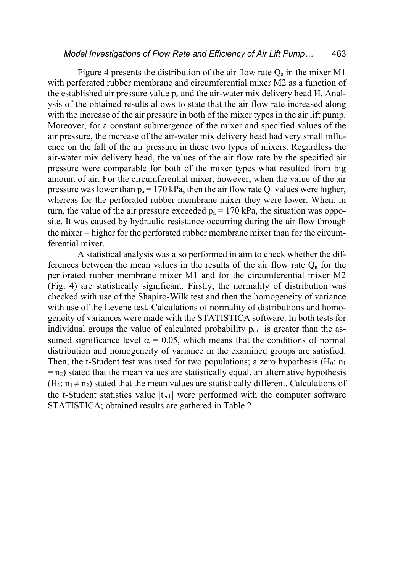Figure 4 presents the distribution of the air flow rate  $Q_a$  in the mixer M1 with perforated rubber membrane and circumferential mixer M2 as a function of the established air pressure value  $p_a$  and the air-water mix delivery head H. Analysis of the obtained results allows to state that the air flow rate increased along with the increase of the air pressure in both of the mixer types in the air lift pump. Moreover, for a constant submergence of the mixer and specified values of the air pressure, the increase of the air-water mix delivery head had very small influence on the fall of the air pressure in these two types of mixers. Regardless the air-water mix delivery head, the values of the air flow rate by the specified air pressure were comparable for both of the mixer types what resulted from big amount of air. For the circumferential mixer, however, when the value of the air pressure was lower than  $p_a = 170$  kPa, then the air flow rate  $Q_a$  values were higher, whereas for the perforated rubber membrane mixer they were lower. When, in turn, the value of the air pressure exceeded  $p_a = 170$  kPa, the situation was opposite. It was caused by hydraulic resistance occurring during the air flow through the mixer higher for the perforated rubber membrane mixer than for the circumferential mixer.

A statistical analysis was also performed in aim to check whether the differences between the mean values in the results of the air flow rate  $Q<sub>a</sub>$  for the perforated rubber membrane mixer M1 and for the circumferential mixer M2 (Fig. 4) are statistically significant. Firstly, the normality of distribution was checked with use of the Shapiro-Wilk test and then the homogeneity of variance with use of the Levene test. Calculations of normality of distributions and homogeneity of variances were made with the STATISTICA software. In both tests for individual groups the value of calculated probability  $p_{cal}$  is greater than the assumed significance level  $\alpha = 0.05$ , which means that the conditions of normal distribution and homogeneity of variance in the examined groups are satisfied. Then, the t-Student test was used for two populations; a zero hypothesis  $(H_0: n_1)$  $=$  n<sub>2</sub>) stated that the mean values are statistically equal, an alternative hypothesis  $(H_1: n_1 \neq n_2)$  stated that the mean values are statistically different. Calculations of the t-Student statistics value  $|t_{cal}|\rangle$  were performed with the computer software STATISTICA; obtained results are gathered in Table 2.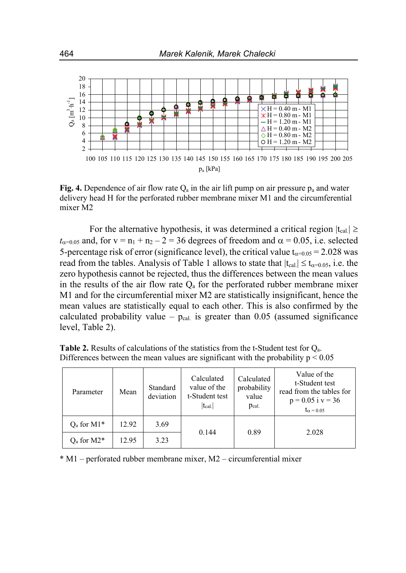

**Fig. 4.** Dependence of air flow rate  $Q_a$  in the air lift pump on air pressure  $p_a$  and water delivery head H for the perforated rubber membrane mixer M1 and the circumferential mixer M2

For the alternative hypothesis, it was determined a critical region  $|t_{cal}| \ge$  $t_{\alpha=0.05}$  and, for  $v = n_1 + n_2 - 2 = 36$  degrees of freedom and  $\alpha = 0.05$ , i.e. selected 5-percentage risk of error (significance level), the critical value  $t_{\alpha=0.05} = 2.028$  was read from the tables. Analysis of Table 1 allows to state that  $|t_{cal}| \le t_{\alpha=0.05}$ , i.e. the zero hypothesis cannot be rejected, thus the differences between the mean values in the results of the air flow rate  $Q_a$  for the perforated rubber membrane mixer M1 and for the circumferential mixer M2 are statistically insignificant, hence the mean values are statistically equal to each other. This is also confirmed by the calculated probability value –  $p_{cal}$  is greater than 0.05 (assumed significance level, Table 2).

| Parameter                              | Mean  | Standard<br>deviation | Calculated<br>value of the<br>t-Student test<br>$ t_{cal.} $ | Calculated<br>probability<br>value<br>Pcal. | Value of the<br>t-Student test<br>read from the tables for<br>$p = 0.05$ i $v = 36$<br>$t_{\alpha} = 0.05$ |
|----------------------------------------|-------|-----------------------|--------------------------------------------------------------|---------------------------------------------|------------------------------------------------------------------------------------------------------------|
| $Qa$ for M1*                           | 12.92 | 3.69                  |                                                              |                                             |                                                                                                            |
| $Q_a$ for M2 <sup><math>*</math></sup> | 12.95 | 3.23                  | 0.144                                                        | 0.89                                        | 2.028                                                                                                      |

**Table 2.** Results of calculations of the statistics from the t-Student test for Qa. Differences between the mean values are significant with the probability  $p \leq 0.05$ 

\* M1 – perforated rubber membrane mixer, M2 – circumferential mixer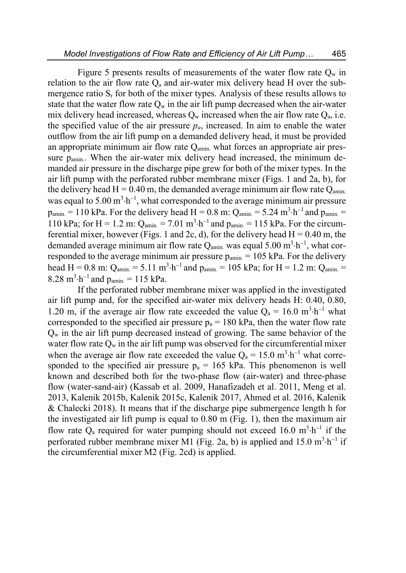Figure 5 presents results of measurements of the water flow rate  $Q_w$  in relation to the air flow rate  $Q_a$  and air-water mix delivery head H over the submergence ratio  $S<sub>r</sub>$  for both of the mixer types. Analysis of these results allows to state that the water flow rate  $Q_w$  in the air lift pump decreased when the air-water mix delivery head increased, whereas  $Q_w$  increased when the air flow rate  $Q_a$ , i.e. the specified value of the air pressure  $p_a$ , increased. In aim to enable the water outflow from the air lift pump on a demanded delivery head, it must be provided an appropriate minimum air flow rate  $Q<sub>amin</sub>$  what forces an appropriate air pressure p<sub>amin</sub>. When the air-water mix delivery head increased, the minimum demanded air pressure in the discharge pipe grew for both of the mixer types. In the air lift pump with the perforated rubber membrane mixer (Figs. 1 and 2a, b), for the delivery head H = 0.40 m, the demanded average minimum air flow rate  $Q_{\text{amin}}$ . was equal to  $5.00 \text{ m}^3 \cdot \text{h}^{-1}$ , what corresponded to the average minimum air pressure  $p_{\text{amin.}} = 110$  kPa. For the delivery head H = 0.8 m:  $Q_{\text{amin.}} = 5.24$  m<sup>3</sup> $\cdot$ h<sup>-1</sup> and  $p_{\text{amin.}} =$ 110 kPa; for H = 1.2 m:  $Q_{\text{amin.}} = 7.01 \text{ m}^3 \cdot \text{h}^{-1}$  and  $p_{\text{amin.}} = 115 \text{ kPa}$ . For the circumferential mixer, however (Figs. 1 and 2c, d), for the delivery head  $H = 0.40$  m, the demanded average minimum air flow rate Q<sub>amin.</sub> was equal 5.00 m<sup>3</sup>·h<sup>-1</sup>, what corresponded to the average minimum air pressure  $p_{\text{amin}} = 105$  kPa. For the delivery head H = 0.8 m:  $Q_{\text{amin.}} = 5.11 \text{ m}^3 \cdot \text{h}^{-1}$  and  $p_{\text{amin.}} = 105 \text{ kPa}$ ; for H = 1.2 m:  $Q_{\text{amin.}} =$  $8.28 \text{ m}^3 \cdot \text{h}^{-1}$  and  $p_{\text{amin.}} = 115 \text{ kPa.}$ 

If the perforated rubber membrane mixer was applied in the investigated air lift pump and, for the specified air-water mix delivery heads H: 0.40, 0.80, 1.20 m, if the average air flow rate exceeded the value  $Q_a = 16.0 \text{ m}^3 \cdot \text{h}^{-1}$  what corresponded to the specified air pressure  $p_a = 180$  kPa, then the water flow rate  $Q_w$  in the air lift pump decreased instead of growing. The same behavior of the water flow rate  $Q_w$  in the air lift pump was observed for the circumferential mixer when the average air flow rate exceeded the value  $Q_a = 15.0 \text{ m}^3 \cdot \text{h}^{-1}$  what corresponded to the specified air pressure  $p_a = 165$  kPa. This phenomenon is well known and described both for the two-phase flow (air-water) and three-phase flow (water-sand-air) (Kassab et al. 2009, Hanafizadeh et al. 2011, Meng et al. 2013, Kalenik 2015b, Kalenik 2015c, Kalenik 2017, Ahmed et al. 2016, Kalenik & Chalecki 2018). It means that if the discharge pipe submergence length h for the investigated air lift pump is equal to 0.80 m (Fig. 1), then the maximum air flow rate  $Q_a$  required for water pumping should not exceed 16.0 m<sup>3</sup> $\cdot$ h<sup>-1</sup> if the perforated rubber membrane mixer M1 (Fig. 2a, b) is applied and 15.0  $m^3 \cdot h^{-1}$  if the circumferential mixer M2 (Fig. 2cd) is applied.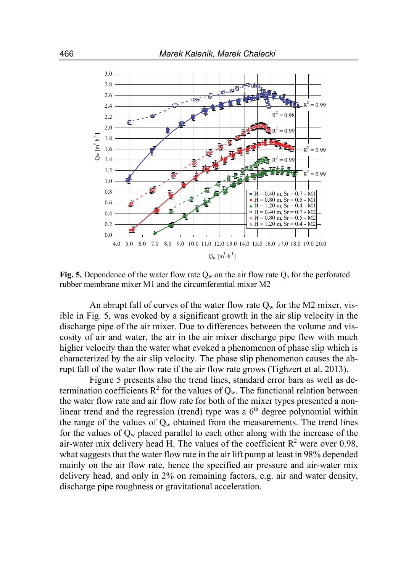

**Fig. 5.** Dependence of the water flow rate  $Q_w$  on the air flow rate  $Q_a$  for the perforated rubber membrane mixer M1 and the circumferential mixer M2

An abrupt fall of curves of the water flow rate  $Q_w$  for the M2 mixer, visible in Fig. 5, was evoked by a significant growth in the air slip velocity in the discharge pipe of the air mixer. Due to differences between the volume and viscosity of air and water, the air in the air mixer discharge pipe flew with much higher velocity than the water what evoked a phenomenon of phase slip which is characterized by the air slip velocity. The phase slip phenomenon causes the abrupt fall of the water flow rate if the air flow rate grows (Tighzert et al. 2013).

Figure 5 presents also the trend lines, standard error bars as well as determination coefficients  $R^2$  for the values of  $Q_w$ . The functional relation between the water flow rate and air flow rate for both of the mixer types presented a nonlinear trend and the regression (trend) type was a  $6<sup>th</sup>$  degree polynomial within the range of the values of  $Q_w$  obtained from the measurements. The trend lines for the values of  $Q_w$  placed parallel to each other along with the increase of the air-water mix delivery head H. The values of the coefficient  $R^2$  were over 0.98, what suggests that the water flow rate in the air lift pump at least in 98% depended mainly on the air flow rate, hence the specified air pressure and air-water mix delivery head, and only in 2% on remaining factors, e.g. air and water density, discharge pipe roughness or gravitational acceleration.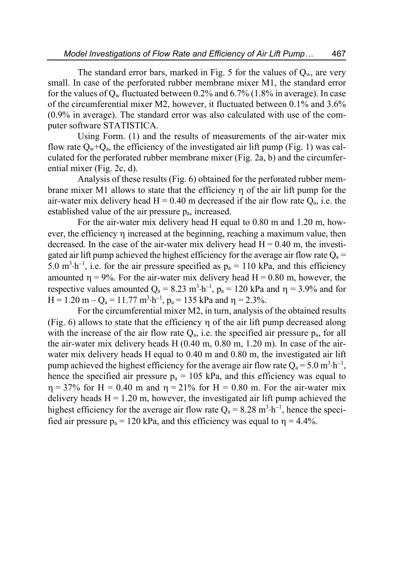The standard error bars, marked in Fig. 5 for the values of  $Q_w$ , are very small. In case of the perforated rubber membrane mixer M1, the standard error for the values of  $Q_w$  fluctuated between 0.2% and 6.7% (1.8% in average). In case of the circumferential mixer M2, however, it fluctuated between 0.1% and 3.6% (0.9% in average). The standard error was also calculated with use of the computer software STATISTICA.

Using Form. (1) and the results of measurements of the air-water mix flow rate  $Q_w+Q_a$ , the efficiency of the investigated air lift pump (Fig. 1) was calculated for the perforated rubber membrane mixer (Fig. 2a, b) and the circumferential mixer (Fig. 2c, d).

Analysis of these results (Fig. 6) obtained for the perforated rubber membrane mixer M1 allows to state that the efficiency  $\eta$  of the air lift pump for the air-water mix delivery head  $H = 0.40$  m decreased if the air flow rate  $Q_a$ , i.e. the established value of the air pressure  $p_a$ , increased.

For the air-water mix delivery head H equal to 0.80 m and 1.20 m, however, the efficiency  $\eta$  increased at the beginning, reaching a maximum value, then decreased. In the case of the air-water mix delivery head  $H = 0.40$  m, the investigated air lift pump achieved the highest efficiency for the average air flow rate  $Q_a$  = 5.0 m<sup>3</sup> $\cdot$ h<sup>-1</sup>, i.e. for the air pressure specified as p<sub>a</sub> = 110 kPa, and this efficiency amounted  $\eta = 9\%$ . For the air-water mix delivery head H = 0.80 m, however, the respective values amounted  $Q_a = 8.23 \text{ m}^3 \cdot \text{h}^{-1}$ ,  $p_a = 120 \text{ kPa}$  and  $\eta = 3.9\%$  and for  $H = 1.20$  m  $-Q_a = 11.77$  m<sup>3</sup> $\cdot h^{-1}$ ,  $p_a = 135$  kPa and  $\eta = 2.3$ %.

For the circumferential mixer M2, in turn, analysis of the obtained results (Fig. 6) allows to state that the efficiency  $\eta$  of the air lift pump decreased along with the increase of the air flow rate  $Q_a$ , i.e. the specified air pressure  $p_a$ , for all the air-water mix delivery heads H (0.40 m, 0.80 m, 1.20 m). In case of the airwater mix delivery heads H equal to 0.40 m and 0.80 m, the investigated air lift pump achieved the highest efficiency for the average air flow rate  $Q_a = 5.0 \text{ m}^3 \cdot \text{h}^{-1}$ , hence the specified air pressure  $p_a = 105$  kPa, and this efficiency was equal to  $\eta = 37\%$  for H = 0.40 m and  $\eta = 21\%$  for H = 0.80 m. For the air-water mix delivery heads  $H = 1.20$  m, however, the investigated air lift pump achieved the highest efficiency for the average air flow rate  $Q_a = 8.28$  m<sup>3</sup>·h<sup>-1</sup>, hence the specified air pressure  $p_a = 120$  kPa, and this efficiency was equal to  $\eta = 4.4\%$ .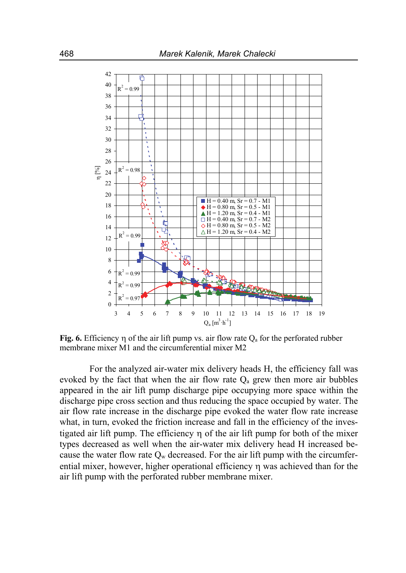

**Fig. 6.** Efficiency  $\eta$  of the air lift pump vs. air flow rate  $Q_a$  for the perforated rubber membrane mixer M1 and the circumferential mixer M2

For the analyzed air-water mix delivery heads H, the efficiency fall was evoked by the fact that when the air flow rate  $Q_a$  grew then more air bubbles appeared in the air lift pump discharge pipe occupying more space within the discharge pipe cross section and thus reducing the space occupied by water. The air flow rate increase in the discharge pipe evoked the water flow rate increase what, in turn, evoked the friction increase and fall in the efficiency of the investigated air lift pump. The efficiency  $\eta$  of the air lift pump for both of the mixer types decreased as well when the air-water mix delivery head H increased because the water flow rate  $Q_w$  decreased. For the air lift pump with the circumferential mixer, however, higher operational efficiency  $\eta$  was achieved than for the air lift pump with the perforated rubber membrane mixer.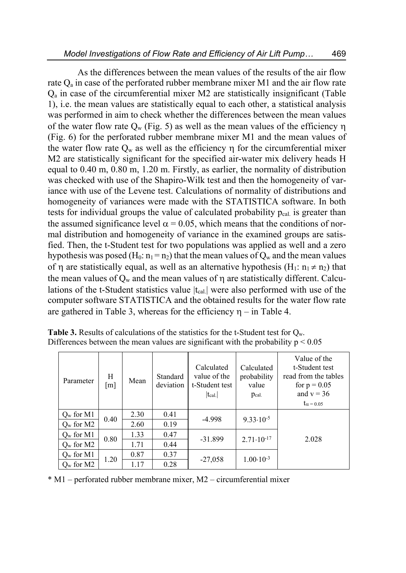As the differences between the mean values of the results of the air flow rate  $Q_a$  in case of the perforated rubber membrane mixer M1 and the air flow rate Qa in case of the circumferential mixer M2 are statistically insignificant (Table 1), i.e. the mean values are statistically equal to each other, a statistical analysis was performed in aim to check whether the differences between the mean values of the water flow rate  $Q_w$  (Fig. 5) as well as the mean values of the efficiency  $\eta$ (Fig. 6) for the perforated rubber membrane mixer M1 and the mean values of the water flow rate  $Q_w$  as well as the efficiency  $\eta$  for the circumferential mixer M2 are statistically significant for the specified air-water mix delivery heads H equal to 0.40 m, 0.80 m, 1.20 m. Firstly, as earlier, the normality of distribution was checked with use of the Shapiro-Wilk test and then the homogeneity of variance with use of the Levene test. Calculations of normality of distributions and homogeneity of variances were made with the STATISTICA software. In both tests for individual groups the value of calculated probability pcal. is greater than the assumed significance level  $\alpha = 0.05$ , which means that the conditions of normal distribution and homogeneity of variance in the examined groups are satisfied. Then, the t-Student test for two populations was applied as well and a zero hypothesis was posed (H<sub>0</sub>:  $n_1 = n_2$ ) that the mean values of  $Q_w$  and the mean values of  $\eta$  are statistically equal, as well as an alternative hypothesis (H<sub>1</sub>:  $n_1 \neq n_2$ ) that the mean values of  $Q_w$  and the mean values of  $\eta$  are statistically different. Calculations of the t-Student statistics value  $|t_{cal}|\rangle$  were also performed with use of the computer software STATISTICA and the obtained results for the water flow rate are gathered in Table 3, whereas for the efficiency  $\eta$  – in Table 4.

| Parameter    | Н<br>[m] | Mean | Standard<br>deviation | Calculated<br>value of the<br>t-Student test<br>$ t_{cal.} $ | Calculated<br>probability<br>value<br>Pcal. | Value of the<br>t-Student test<br>read from the tables<br>for $p = 0.05$<br>and $v = 36$<br>$t_{\alpha} = 0.05$ |
|--------------|----------|------|-----------------------|--------------------------------------------------------------|---------------------------------------------|-----------------------------------------------------------------------------------------------------------------|
| $Q_w$ for M1 |          | 2.30 | 0.41                  | $-4.998$                                                     |                                             |                                                                                                                 |
| $O_w$ for M2 | 0.40     | 2.60 | 0.19                  |                                                              | $9.33 \cdot 10^{-5}$                        |                                                                                                                 |
| $Q_w$ for M1 | 0.80     | 1.33 | 0.47                  | $-31.899$                                                    | $2.71 \cdot 10^{-17}$                       | 2.028                                                                                                           |
| $O_w$ for M2 |          | 1.71 | 0.44                  |                                                              |                                             |                                                                                                                 |
| $Q_w$ for M1 | 1.20     | 0.87 | 0.37                  | $-27,058$                                                    | $1.00 \cdot 10^{-3}$                        |                                                                                                                 |
| $Q_w$ for M2 |          | 1.17 | 0.28                  |                                                              |                                             |                                                                                                                 |

Table 3. Results of calculations of the statistics for the t-Student test for Q<sub>w</sub>. Differences between the mean values are significant with the probability  $p \le 0.05$ 

\* M1 – perforated rubber membrane mixer, M2 – circumferential mixer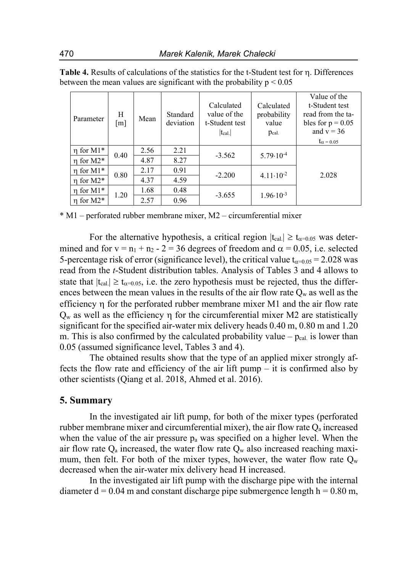| Parameter      | Н<br>$\lceil m \rceil$ | Mean | Standard<br>deviation | Calculated<br>value of the<br>t-Student test<br>$ t_{cal} $ | Calculated<br>probability<br>value<br>Pcal. | Value of the<br>t-Student test<br>read from the ta-<br>bles for $p = 0.05$<br>and $v = 36$<br>$t_{\alpha} = 0.05$ |
|----------------|------------------------|------|-----------------------|-------------------------------------------------------------|---------------------------------------------|-------------------------------------------------------------------------------------------------------------------|
| $\eta$ for M1* | 0.40                   | 2.56 | 2.21                  | $-3.562$                                                    | $5.79 \cdot 10^{-4}$                        |                                                                                                                   |
| $\eta$ for M2* |                        | 4.87 | 8.27                  |                                                             |                                             |                                                                                                                   |
| $\eta$ for M1* | 0.80                   | 2.17 | 0.91                  | $-2.200$                                                    | $4.11 \cdot 10^{-2}$                        | 2.028                                                                                                             |
| $\eta$ for M2* |                        | 4.37 | 4.59                  |                                                             |                                             |                                                                                                                   |
| $\eta$ for M1* | 1.20                   | 1.68 | 0.48                  | $-3.655$                                                    | $1.96 \cdot 10^{-3}$                        |                                                                                                                   |
| $\eta$ for M2* |                        | 2.57 | 0.96                  |                                                             |                                             |                                                                                                                   |

Table 4. Results of calculations of the statistics for the t-Student test for  $\eta$ . Differences between the mean values are significant with the probability  $p \le 0.05$ 

\* M1 – perforated rubber membrane mixer, M2 – circumferential mixer

For the alternative hypothesis, a critical region  $|t_{cal}| \ge t_{\alpha=0.05}$  was determined and for  $v = n_1 + n_2 - 2 = 36$  degrees of freedom and  $\alpha = 0.05$ , i.e. selected 5-percentage risk of error (significance level), the critical value  $t_{\alpha=0.05} = 2.028$  was read from the *t*-Student distribution tables. Analysis of Tables 3 and 4 allows to state that  $|t_{cal}|\geq t_{\alpha=0.05}$ , i.e. the zero hypothesis must be rejected, thus the differences between the mean values in the results of the air flow rate  $Q_w$  as well as the efficiency  $\eta$  for the perforated rubber membrane mixer M1 and the air flow rate  $Q_w$  as well as the efficiency  $\eta$  for the circumferential mixer M2 are statistically significant for the specified air-water mix delivery heads 0.40 m, 0.80 m and 1.20 m. This is also confirmed by the calculated probability value –  $p_{cal}$  is lower than 0.05 (assumed significance level, Tables 3 and 4).

The obtained results show that the type of an applied mixer strongly affects the flow rate and efficiency of the air lift pump – it is confirmed also by other scientists (Qiang et al. 2018, Ahmed et al. 2016).

#### **5. Summary**

In the investigated air lift pump, for both of the mixer types (perforated rubber membrane mixer and circumferential mixer), the air flow rate  $Q_a$  increased when the value of the air pressure  $p_a$  was specified on a higher level. When the air flow rate  $Q_a$  increased, the water flow rate  $Q_w$  also increased reaching maximum, then felt. For both of the mixer types, however, the water flow rate  $Q_w$ decreased when the air-water mix delivery head H increased.

In the investigated air lift pump with the discharge pipe with the internal diameter  $d = 0.04$  m and constant discharge pipe submergence length  $h = 0.80$  m,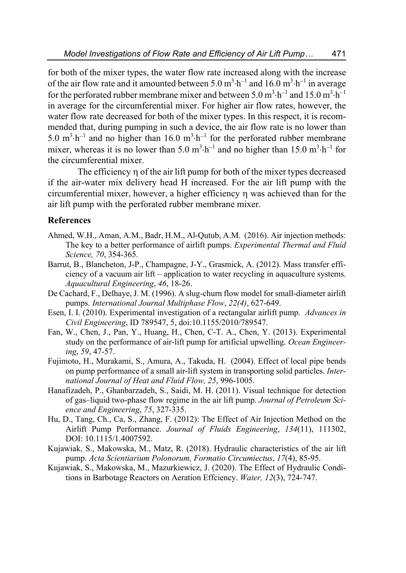for both of the mixer types, the water flow rate increased along with the increase of the air flow rate and it amounted between 5.0  $m^3 \cdot h^{-1}$  and 16.0  $m^3 \cdot h^{-1}$  in average for the perforated rubber membrane mixer and between 5.0 m<sup>3</sup> $\cdot$ h<sup>-1</sup> and 15.0 m<sup>3</sup> $\cdot$ h<sup>-1</sup> in average for the circumferential mixer. For higher air flow rates, however, the water flow rate decreased for both of the mixer types. In this respect, it is recommended that, during pumping in such a device, the air flow rate is no lower than 5.0  $\text{m}^3 \cdot \text{h}^{-1}$  and no higher than 16.0  $\text{m}^3 \cdot \text{h}^{-1}$  for the perforated rubber membrane mixer, whereas it is no lower than 5.0 m<sup>3</sup> $\cdot$ h<sup>-1</sup> and no higher than 15.0 m<sup>3</sup> $\cdot$ h<sup>-1</sup> for the circumferential mixer.

The efficiency n of the air lift pump for both of the mixer types decreased if the air-water mix delivery head H increased. For the air lift pump with the circumferential mixer, however, a higher efficiency was achieved than for the air lift pump with the perforated rubber membrane mixer.

#### **References**

- Ahmed, W.H., Aman, A.M., Badr, H.M., Al-Qutub, A.M. (2016). Air injection methods: The key to a better performance of airlift pumps. *Experimental Thermal and Fluid Science, 70*, 354-365.
- Barrut, B., Blancheton, J-P., Champagne, J-Y., Grasmick, A. (2012). Mass transfer efficiency of a vacuum air lift – application to water recycling in aquaculture systems. *Aquacultural Engineering*, *46*, 18-26.
- De Cachard, F., Delhaye, J. M. (1996). A slug-churn flow model for small-diameter airlift pumps. *International Journal Multiphase Flow*, *22(4)*, 627-649.
- Esen, I. I. (2010). Experimental investigation of a rectangular airlift pump. *Advances in Civil Engineering*, ID 789547, 5, doi:10.1155/2010/789547.
- Fan, W., Chen, J., Pan, Y., Huang, H., Chen, C-T. A., Chen, Y. (2013). Experimental study on the performance of air-lift pump for artificial upwelling. *Ocean Engineering*, *59*, 47-57.
- Fujimoto, H., Murakami, S., Amura, A., Takuda, H. (2004). Effect of local pipe bends on pump performance of a small air-lift system in transporting solid particles. *International Journal of Heat and Fluid Flow, 25*, 996-1005.
- Hanafizadeh, P., Ghanbarzadeh, S., Saidi, M. H. (2011). Visual technique for detection of gas–liquid two-phase flow regime in the air lift pump. *Journal of Petroleum Science and Engineering*, *75*, 327-335.
- Hu, D., Tang, Ch., Ca, S., Zhang, F. (2012): The Effect of Air Injection Method on the Airlift Pump Performance. *Journal of Fluids Engineering*, *134*(11), 111302, DOI: 10.1115/1.4007592.
- Kujawiak, S., Makowska, M., Matz, R. (2018). Hydraulic characteristics of the air lift pump. *Acta Scientiarium Polonorum, Formatio Circumiectus*, *17*(4), 85-95.
- Kujawiak, S., Makowska, M., Mazurkiewicz, J. (2020). The Effect of Hydraulic Conditions in Barbotage Reactors on Aeration Effciency. *Water, 12*(3), 724-747.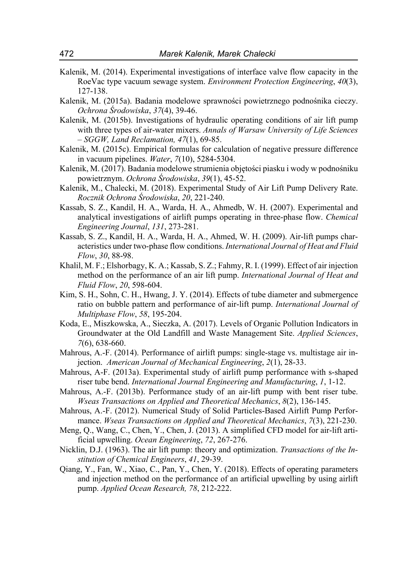- Kalenik, M. (2014). Experimental investigations of interface valve flow capacity in the RoeVac type vacuum sewage system. *Environment Protection Engineering*, *40*(3), 127-138.
- Kalenik, M. (2015a). Badania modelowe sprawności powietrznego podnośnika cieczy. *Ochrona Środowiska*, *37*(4), 39-46.
- Kalenik, M. (2015b). Investigations of hydraulic operating conditions of air lift pump with three types of air-water mixers. *Annals of Warsaw University of Life Sciences – SGGW, Land Reclamation, 47*(1), 69-85.
- Kalenik, M. (2015c). Empirical formulas for calculation of negative pressure difference in vacuum pipelines. *Water*, *7*(10), 5284-5304.
- Kalenik, M. (2017). Badania modelowe strumienia objętości piasku i wody w podnośniku powietrznym. *Ochrona Środowiska*, *39*(1), 45-52.
- Kalenik, M., Chalecki, M. (2018). Experimental Study of Air Lift Pump Delivery Rate. *Rocznik Ochrona Środowiska*, *20*, 221-240.
- Kassab, S. Z., Kandil, H. A., Warda, H. A., Ahmedb, W. H. (2007). Experimental and analytical investigations of airlift pumps operating in three-phase flow. *Chemical Engineering Journal*, *131*, 273-281.
- Kassab, S. Z., Kandil, H. A., Warda, H. A., Ahmed, W. H. (2009). Air-lift pumps characteristics under two-phase flow conditions. *International Journal of Heat and Fluid Flow*, *30*, 88-98.
- Khalil, M. F.; Elshorbagy, K. A.; Kassab, S. Z.; Fahmy, R. I. (1999). Effect of air injection method on the performance of an air lift pump. *International Journal of Heat and Fluid Flow*, *20*, 598-604.
- Kim, S. H., Sohn, C. H., Hwang, J. Y. (2014). Effects of tube diameter and submergence ratio on bubble pattern and performance of air-lift pump. *International Journal of Multiphase Flow*, *58*, 195-204.
- Koda, E., Miszkowska, A., Sieczka, A. (2017). Levels of Organic Pollution Indicators in Groundwater at the Old Landfill and Waste Management Site. *Applied Sciences*, *7*(6), 638-660.
- Mahrous, A.-F. (2014). Performance of airlift pumps: single-stage vs. multistage air injection. *American Journal of Mechanical Engineering*, *2*(1), 28-33.
- Mahrous, A-F. (2013a). Experimental study of airlift pump performance with s-shaped riser tube bend. *International Journal Engineering and Manufacturing*, *1*, 1-12.
- Mahrous, A.-F. (2013b). Performance study of an air-lift pump with bent riser tube. *Wseas Transactions on Applied and Theoretical Mechanics*, *8*(2), 136-145.
- Mahrous, A.-F. (2012). Numerical Study of Solid Particles-Based Airlift Pump Performance. *Wseas Transactions on Applied and Theoretical Mechanics*, *7*(3), 221-230.
- Meng, Q., Wang, C., Chen, Y., Chen, J. (2013). A simplified CFD model for air-lift artificial upwelling. *Ocean Engineering*, *72*, 267-276.
- Nicklin, D.J. (1963). The air lift pump: theory and optimization. *Transactions of the Institution of Chemical Engineers*, *41*, 29-39.
- Qiang, Y., Fan, W., Xiao, C., Pan, Y., Chen, Y. (2018). Effects of operating parameters and injection method on the performance of an artificial upwelling by using airlift pump. *Applied Ocean Research, 78*, 212-222.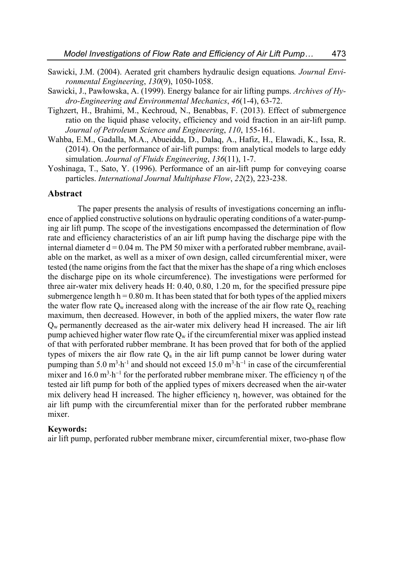- Sawicki, J.M. (2004). Aerated grit chambers hydraulic design equations*. Journal Environmental Engineering*, *130*(9), 1050-1058.
- Sawicki, J., Pawłowska, A. (1999). Energy balance for air lifting pumps. *Archives of Hydro-Engineering and Environmental Mechanics*, *46*(1-4), 63-72.
- Tighzert, H., Brahimi, M., Kechroud, N., Benabbas, F. (2013). Effect of submergence ratio on the liquid phase velocity, efficiency and void fraction in an air-lift pump. *Journal of Petroleum Science and Engineering*, *110*, 155-161.
- Wahba, E.M., Gadalla, M.A., Abueidda, D., Dalaq, A., Hafiz, H., Elawadi, K., Issa, R. (2014). On the performance of air-lift pumps: from analytical models to large eddy simulation. *Journal of Fluids Engineering*, *136*(11), 1-7.
- Yoshinaga, T., Sato, Y. (1996). Performance of an air-lift pump for conveying coarse particles. *International Journal Multiphase Flow*, *22*(2), 223-238.

#### **Abstract**

The paper presents the analysis of results of investigations concerning an influence of applied constructive solutions on hydraulic operating conditions of a water-pumping air lift pump. The scope of the investigations encompassed the determination of flow rate and efficiency characteristics of an air lift pump having the discharge pipe with the internal diameter  $d = 0.04$  m. The PM 50 mixer with a perforated rubber membrane, available on the market, as well as a mixer of own design, called circumferential mixer, were tested (the name origins from the fact that the mixer has the shape of a ring which encloses the discharge pipe on its whole circumference). The investigations were performed for three air-water mix delivery heads H: 0.40, 0.80, 1.20 m, for the specified pressure pipe submergence length  $h = 0.80$  m. It has been stated that for both types of the applied mixers the water flow rate  $Q_w$  increased along with the increase of the air flow rate  $Q_a$  reaching maximum, then decreased. However, in both of the applied mixers, the water flow rate  $Q_w$  permanently decreased as the air-water mix delivery head H increased. The air lift pump achieved higher water flow rate  $Q_w$  if the circumferential mixer was applied instead of that with perforated rubber membrane. It has been proved that for both of the applied types of mixers the air flow rate  $Q_a$  in the air lift pump cannot be lower during water pumping than 5.0 m<sup>3</sup> $\cdot$ h<sup>-1</sup> and should not exceed 15.0 m<sup>3</sup> $\cdot$ h<sup>-1</sup> in case of the circumferential mixer and  $16.0 \text{ m}^3 \cdot \text{h}^{-1}$  for the perforated rubber membrane mixer. The efficiency  $\eta$  of the tested air lift pump for both of the applied types of mixers decreased when the air-water mix delivery head H increased. The higher efficiency  $\eta$ , however, was obtained for the air lift pump with the circumferential mixer than for the perforated rubber membrane mixer.

#### **Keywords:**

air lift pump, perforated rubber membrane mixer, circumferential mixer, two-phase flow